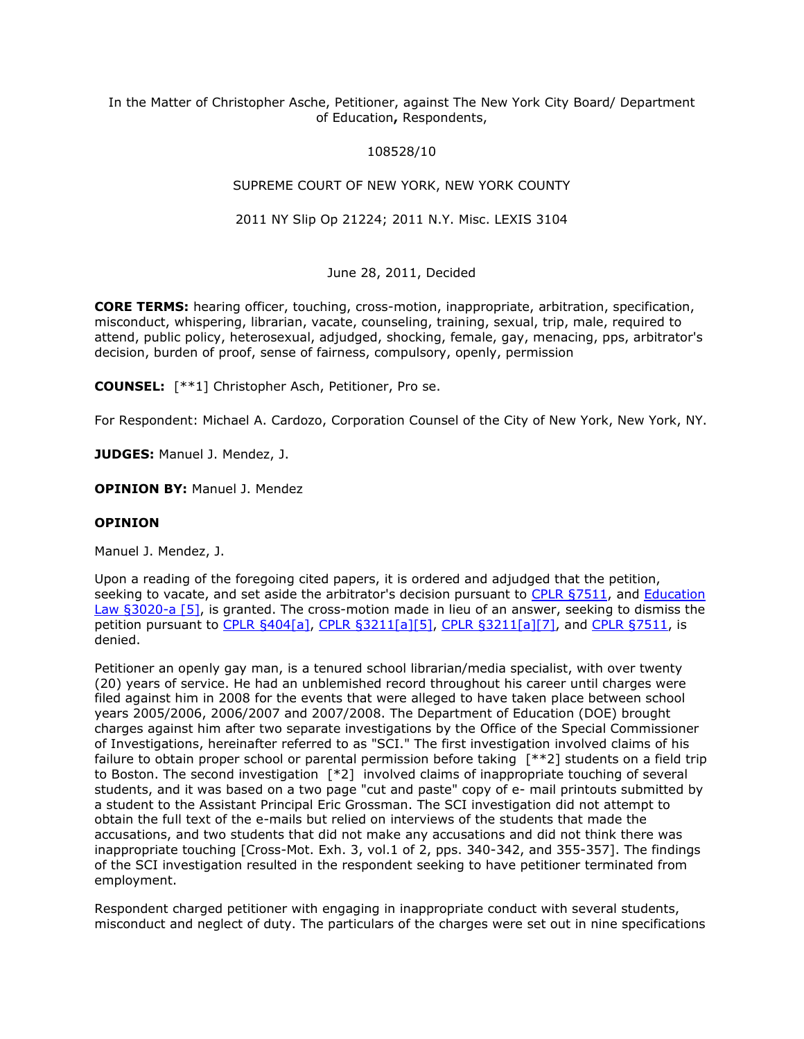# In the Matter of Christopher Asche, Petitioner, against The New York City Board/ Department of Education**,** Respondents,

# 108528/10

# SUPREME COURT OF NEW YORK, NEW YORK COUNTY

# 2011 NY Slip Op 21224; 2011 N.Y. Misc. LEXIS 3104

# June 28, 2011, Decided

**CORE TERMS:** hearing officer, touching, cross-motion, inappropriate, arbitration, specification, misconduct, whispering, librarian, vacate, counseling, training, sexual, trip, male, required to attend, public policy, heterosexual, adjudged, shocking, female, gay, menacing, pps, arbitrator's decision, burden of proof, sense of fairness, compulsory, openly, permission

**COUNSEL:** [\*\*1] Christopher Asch, Petitioner, Pro se.

For Respondent: Michael A. Cardozo, Corporation Counsel of the City of New York, New York, NY.

**JUDGES:** Manuel J. Mendez, J.

**OPINION BY:** Manuel J. Mendez

# **OPINION**

Manuel J. Mendez, J.

Upon a reading of the foregoing cited papers, it is ordered and adjudged that the petition, seeking to vacate, and set aside the arbitrator's decision pursuant to [CPLR §7511,](http://www.lexisnexis.com.ezproxy.strose.edu/lnacui2api/mungo/lexseestat.do?bct=A&risb=21_T12271941973&homeCsi=9095&A=0.144397491058194&urlEnc=ISO-8859-1&&citeString=N.Y.%20C.P.L.R.%207511&countryCode=USA) and [Education](http://www.lexisnexis.com.ezproxy.strose.edu/lnacui2api/mungo/lexseestat.do?bct=A&risb=21_T12271941973&homeCsi=9095&A=0.144397491058194&urlEnc=ISO-8859-1&&citeString=N.Y.%20EDUC.%20LAW%203020-A&countryCode=USA)  [Law §3020-a \[5\],](http://www.lexisnexis.com.ezproxy.strose.edu/lnacui2api/mungo/lexseestat.do?bct=A&risb=21_T12271941973&homeCsi=9095&A=0.144397491058194&urlEnc=ISO-8859-1&&citeString=N.Y.%20EDUC.%20LAW%203020-A&countryCode=USA) is granted. The cross-motion made in lieu of an answer, seeking to dismiss the petition pursuant to [CPLR §404\[a\],](http://www.lexisnexis.com.ezproxy.strose.edu/lnacui2api/mungo/lexseestat.do?bct=A&risb=21_T12271941973&homeCsi=9095&A=0.144397491058194&urlEnc=ISO-8859-1&&citeString=N.Y.%20C.P.L.R.%20404&countryCode=USA) [CPLR §3211\[a\]\[5\],](http://www.lexisnexis.com.ezproxy.strose.edu/lnacui2api/mungo/lexseestat.do?bct=A&risb=21_T12271941973&homeCsi=9095&A=0.144397491058194&urlEnc=ISO-8859-1&&citeString=N.Y.%20C.P.L.R.%203211&countryCode=USA) [CPLR §3211\[a\]\[7\],](http://www.lexisnexis.com.ezproxy.strose.edu/lnacui2api/mungo/lexseestat.do?bct=A&risb=21_T12271941973&homeCsi=9095&A=0.144397491058194&urlEnc=ISO-8859-1&&citeString=N.Y.%20C.P.L.R.%203211&countryCode=USA) and [CPLR §7511,](http://www.lexisnexis.com.ezproxy.strose.edu/lnacui2api/mungo/lexseestat.do?bct=A&risb=21_T12271941973&homeCsi=9095&A=0.144397491058194&urlEnc=ISO-8859-1&&citeString=N.Y.%20C.P.L.R.%207511&countryCode=USA) is denied.

Petitioner an openly gay man, is a tenured school librarian/media specialist, with over twenty (20) years of service. He had an unblemished record throughout his career until charges were filed against him in 2008 for the events that were alleged to have taken place between school years 2005/2006, 2006/2007 and 2007/2008. The Department of Education (DOE) brought charges against him after two separate investigations by the Office of the Special Commissioner of Investigations, hereinafter referred to as "SCI." The first investigation involved claims of his failure to obtain proper school or parental permission before taking [\*\*2] students on a field trip to Boston. The second investigation [\*2] involved claims of inappropriate touching of several students, and it was based on a two page "cut and paste" copy of e- mail printouts submitted by a student to the Assistant Principal Eric Grossman. The SCI investigation did not attempt to obtain the full text of the e-mails but relied on interviews of the students that made the accusations, and two students that did not make any accusations and did not think there was inappropriate touching [Cross-Mot. Exh. 3, vol.1 of 2, pps. 340-342, and 355-357]. The findings of the SCI investigation resulted in the respondent seeking to have petitioner terminated from employment.

Respondent charged petitioner with engaging in inappropriate conduct with several students, misconduct and neglect of duty. The particulars of the charges were set out in nine specifications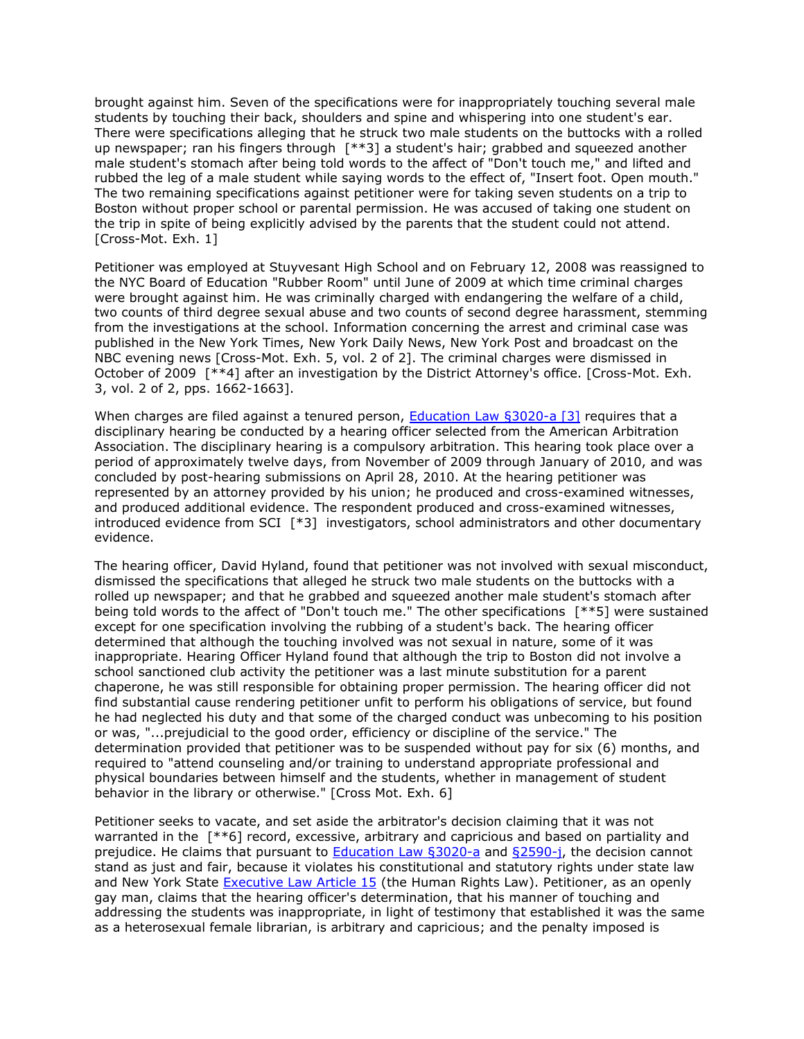brought against him. Seven of the specifications were for inappropriately touching several male students by touching their back, shoulders and spine and whispering into one student's ear. There were specifications alleging that he struck two male students on the buttocks with a rolled up newspaper; ran his fingers through [\*\*3] a student's hair; grabbed and squeezed another male student's stomach after being told words to the affect of "Don't touch me," and lifted and rubbed the leg of a male student while saying words to the effect of, "Insert foot. Open mouth." The two remaining specifications against petitioner were for taking seven students on a trip to Boston without proper school or parental permission. He was accused of taking one student on the trip in spite of being explicitly advised by the parents that the student could not attend. [Cross-Mot. Exh. 1]

Petitioner was employed at Stuyvesant High School and on February 12, 2008 was reassigned to the NYC Board of Education "Rubber Room" until June of 2009 at which time criminal charges were brought against him. He was criminally charged with endangering the welfare of a child, two counts of third degree sexual abuse and two counts of second degree harassment, stemming from the investigations at the school. Information concerning the arrest and criminal case was published in the New York Times, New York Daily News, New York Post and broadcast on the NBC evening news [Cross-Mot. Exh. 5, vol. 2 of 2]. The criminal charges were dismissed in October of 2009 [\*\*4] after an investigation by the District Attorney's office. [Cross-Mot. Exh. 3, vol. 2 of 2, pps. 1662-1663].

When charges are filed against a tenured person, **[Education Law §3020-a \[3\]](http://www.lexisnexis.com.ezproxy.strose.edu/lnacui2api/mungo/lexseestat.do?bct=A&risb=21_T12271941973&homeCsi=9095&A=0.144397491058194&urlEnc=ISO-8859-1&&citeString=N.Y.%20EDUC.%20LAW%203020-A&countryCode=USA)** requires that a disciplinary hearing be conducted by a hearing officer selected from the American Arbitration Association. The disciplinary hearing is a compulsory arbitration. This hearing took place over a period of approximately twelve days, from November of 2009 through January of 2010, and was concluded by post-hearing submissions on April 28, 2010. At the hearing petitioner was represented by an attorney provided by his union; he produced and cross-examined witnesses, and produced additional evidence. The respondent produced and cross-examined witnesses, introduced evidence from SCI [\*3] investigators, school administrators and other documentary evidence.

The hearing officer, David Hyland, found that petitioner was not involved with sexual misconduct, dismissed the specifications that alleged he struck two male students on the buttocks with a rolled up newspaper; and that he grabbed and squeezed another male student's stomach after being told words to the affect of "Don't touch me." The other specifications [\*\*5] were sustained except for one specification involving the rubbing of a student's back. The hearing officer determined that although the touching involved was not sexual in nature, some of it was inappropriate. Hearing Officer Hyland found that although the trip to Boston did not involve a school sanctioned club activity the petitioner was a last minute substitution for a parent chaperone, he was still responsible for obtaining proper permission. The hearing officer did not find substantial cause rendering petitioner unfit to perform his obligations of service, but found he had neglected his duty and that some of the charged conduct was unbecoming to his position or was, "...prejudicial to the good order, efficiency or discipline of the service." The determination provided that petitioner was to be suspended without pay for six (6) months, and required to "attend counseling and/or training to understand appropriate professional and physical boundaries between himself and the students, whether in management of student behavior in the library or otherwise." [Cross Mot. Exh. 6]

Petitioner seeks to vacate, and set aside the arbitrator's decision claiming that it was not warranted in the  $[***6]$  record, excessive, arbitrary and capricious and based on partiality and prejudice. He claims that pursuant to **Education [Law §3020-a](http://www.lexisnexis.com.ezproxy.strose.edu/lnacui2api/mungo/lexseestat.do?bct=A&risb=21_T12271941973&homeCsi=9095&A=0.144397491058194&urlEnc=ISO-8859-1&&citeString=N.Y.%20EDUC.%20LAW%203020-A&countryCode=USA) and §2590-j**, the decision cannot stand as just and fair, because it violates his constitutional and statutory rights under state law and New York State [Executive Law Article 15](http://www.lexisnexis.com.ezproxy.strose.edu/lnacui2api/mungo/lexseestat.do?bct=A&risb=21_T12271941973&homeCsi=9095&A=0.144397491058194&urlEnc=ISO-8859-1&&citeString=N.Y.%20EXEC.%20LAW%2015&countryCode=USA) (the Human Rights Law). Petitioner, as an openly gay man, claims that the hearing officer's determination, that his manner of touching and addressing the students was inappropriate, in light of testimony that established it was the same as a heterosexual female librarian, is arbitrary and capricious; and the penalty imposed is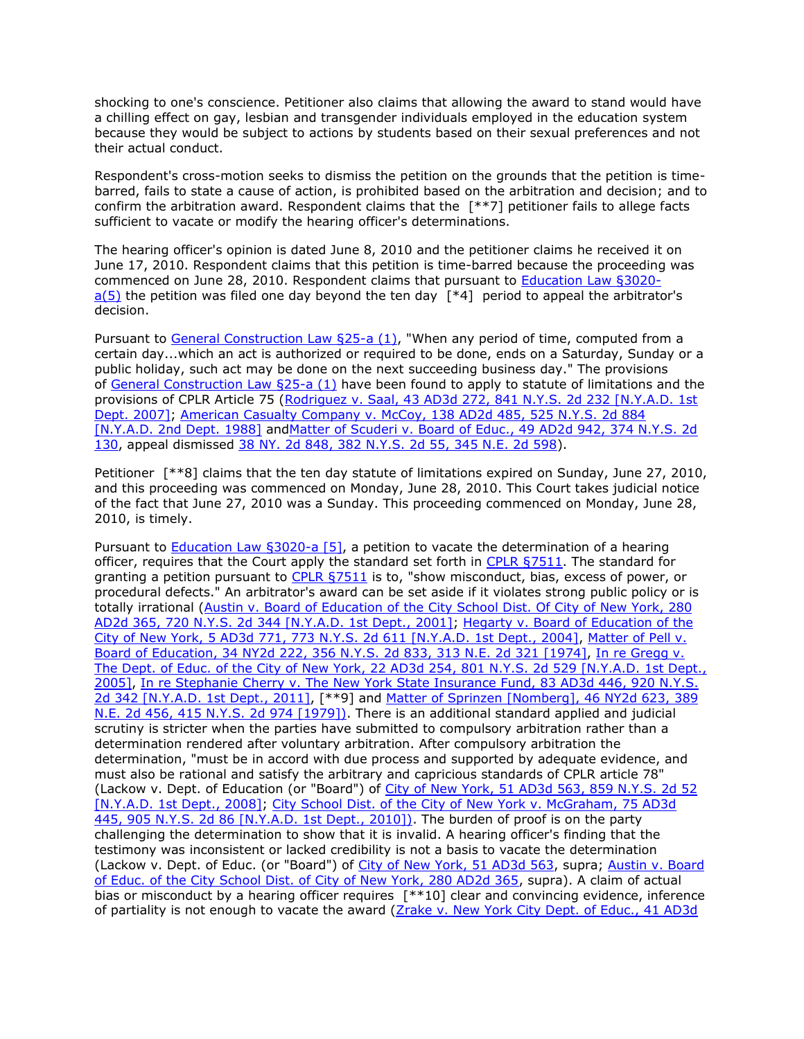shocking to one's conscience. Petitioner also claims that allowing the award to stand would have a chilling effect on gay, lesbian and transgender individuals employed in the education system because they would be subject to actions by students based on their sexual preferences and not their actual conduct.

Respondent's cross-motion seeks to dismiss the petition on the grounds that the petition is timebarred, fails to state a cause of action, is prohibited based on the arbitration and decision; and to confirm the arbitration award. Respondent claims that the [\*\*7] petitioner fails to allege facts sufficient to vacate or modify the hearing officer's determinations.

The hearing officer's opinion is dated June 8, 2010 and the petitioner claims he received it on June 17, 2010. Respondent claims that this petition is time-barred because the proceeding was commenced on June 28, 2010. Respondent claims that pursuant to [Education Law §3020](http://www.lexisnexis.com.ezproxy.strose.edu/lnacui2api/mungo/lexseestat.do?bct=A&risb=21_T12271941973&homeCsi=9095&A=0.144397491058194&urlEnc=ISO-8859-1&&citeString=N.Y.%20EDUC.%20LAW%203020-A&countryCode=USA)  $a(5)$  the petition was filed one day beyond the ten day  $[*4]$  period to appeal the arbitrator's decision.

Pursuant to [General Construction Law §25-a \(1\),](http://www.lexisnexis.com.ezproxy.strose.edu/lnacui2api/mungo/lexseestat.do?bct=A&risb=21_T12271941973&homeCsi=9095&A=0.144397491058194&urlEnc=ISO-8859-1&&citeString=N.Y.%20GEN.%20CONSTR.%20LAW%2025-A&countryCode=USA) "When any period of time, computed from a certain day...which an act is authorized or required to be done, ends on a Saturday, Sunday or a public holiday, such act may be done on the next succeeding business day." The provisions of [General Construction Law §25-a \(1\)](http://www.lexisnexis.com.ezproxy.strose.edu/lnacui2api/mungo/lexseestat.do?bct=A&risb=21_T12271941973&homeCsi=9095&A=0.144397491058194&urlEnc=ISO-8859-1&&citeString=N.Y.%20GEN.%20CONSTR.%20LAW%2025-A&countryCode=USA) have been found to apply to statute of limitations and the provisions of CPLR Article 75 (Rodriguez v. Saal, 43 AD3d 272, 841 N.Y.S. 2d 232 [N.Y.A.D. 1st [Dept. 2007\];](http://www.lexisnexis.com.ezproxy.strose.edu/lnacui2api/mungo/lexseestat.do?bct=A&risb=21_T12271941973&homeCsi=9095&A=0.144397491058194&urlEnc=ISO-8859-1&&citeString=43%20A.D.3d%20272&countryCode=USA) American Casualty Company v. McCoy, 138 AD2d 485, 525 N.Y.S. 2d 884 [\[N.Y.A.D. 2nd Dept. 1988\]](http://www.lexisnexis.com.ezproxy.strose.edu/lnacui2api/mungo/lexseestat.do?bct=A&risb=21_T12271941973&homeCsi=9095&A=0.144397491058194&urlEnc=ISO-8859-1&&citeString=138%20A.D.2d%20485&countryCode=USA) an[dMatter of Scuderi v. Board of Educ., 49 AD2d 942, 374 N.Y.S. 2d](http://www.lexisnexis.com.ezproxy.strose.edu/lnacui2api/mungo/lexseestat.do?bct=A&risb=21_T12271941973&homeCsi=9095&A=0.144397491058194&urlEnc=ISO-8859-1&&citeString=49%20A.D.2d%20942&countryCode=USA)  [130,](http://www.lexisnexis.com.ezproxy.strose.edu/lnacui2api/mungo/lexseestat.do?bct=A&risb=21_T12271941973&homeCsi=9095&A=0.144397491058194&urlEnc=ISO-8859-1&&citeString=49%20A.D.2d%20942&countryCode=USA) appeal dismissed [38 NY. 2d 848, 382 N.Y.S. 2d 55, 345 N.E. 2d 598\)](http://www.lexisnexis.com.ezproxy.strose.edu/lnacui2api/mungo/lexseestat.do?bct=A&risb=21_T12271941973&homeCsi=9095&A=0.144397491058194&urlEnc=ISO-8859-1&&citeString=38%20N.Y.2d%20848&countryCode=USA).

Petitioner [\*\*8] claims that the ten day statute of limitations expired on Sunday, June 27, 2010, and this proceeding was commenced on Monday, June 28, 2010. This Court takes judicial notice of the fact that June 27, 2010 was a Sunday. This proceeding commenced on Monday, June 28, 2010, is timely.

Pursuant to [Education Law §3020-a \[5\],](http://www.lexisnexis.com.ezproxy.strose.edu/lnacui2api/mungo/lexseestat.do?bct=A&risb=21_T12271941973&homeCsi=9095&A=0.144397491058194&urlEnc=ISO-8859-1&&citeString=N.Y.%20EDUC.%20LAW%203020-A&countryCode=USA) a petition to vacate the determination of a hearing officer, requires that the Court apply the standard set forth in [CPLR §7511.](http://www.lexisnexis.com.ezproxy.strose.edu/lnacui2api/mungo/lexseestat.do?bct=A&risb=21_T12271941973&homeCsi=9095&A=0.144397491058194&urlEnc=ISO-8859-1&&citeString=N.Y.%20C.P.L.R.%207511&countryCode=USA) The standard for granting a petition pursuant to [CPLR §7511](http://www.lexisnexis.com.ezproxy.strose.edu/lnacui2api/mungo/lexseestat.do?bct=A&risb=21_T12271941973&homeCsi=9095&A=0.144397491058194&urlEnc=ISO-8859-1&&citeString=N.Y.%20C.P.L.R.%207511&countryCode=USA) is to, "show misconduct, bias, excess of power, or procedural defects." An arbitrator's award can be set aside if it violates strong public policy or is totally irrational (Austin v. Board of Education [of the City School Dist. Of City of](http://www.lexisnexis.com.ezproxy.strose.edu/lnacui2api/mungo/lexseestat.do?bct=A&risb=21_T12271941973&homeCsi=9095&A=0.144397491058194&urlEnc=ISO-8859-1&&citeString=280%20A.D.2d%20365&countryCode=USA) New York, 280 [AD2d 365, 720 N.Y.S. 2d 344 \[N.Y.A.D. 1st Dept., 2001\];](http://www.lexisnexis.com.ezproxy.strose.edu/lnacui2api/mungo/lexseestat.do?bct=A&risb=21_T12271941973&homeCsi=9095&A=0.144397491058194&urlEnc=ISO-8859-1&&citeString=280%20A.D.2d%20365&countryCode=USA) [Hegarty v. Board of](http://www.lexisnexis.com.ezproxy.strose.edu/lnacui2api/mungo/lexseestat.do?bct=A&risb=21_T12271941973&homeCsi=9095&A=0.144397491058194&urlEnc=ISO-8859-1&&citeString=5%20A.D.3d%20771&countryCode=USA) Education of the City of New York, [5 AD3d 771, 773 N.Y.S. 2d 611 \[N.Y.A.D. 1st Dept., 2004\],](http://www.lexisnexis.com.ezproxy.strose.edu/lnacui2api/mungo/lexseestat.do?bct=A&risb=21_T12271941973&homeCsi=9095&A=0.144397491058194&urlEnc=ISO-8859-1&&citeString=5%20A.D.3d%20771&countryCode=USA) [Matter of Pell v.](http://www.lexisnexis.com.ezproxy.strose.edu/lnacui2api/mungo/lexseestat.do?bct=A&risb=21_T12271941973&homeCsi=9095&A=0.144397491058194&urlEnc=ISO-8859-1&&citeString=34%20N.Y.2d%20222&countryCode=USA)  Board of Education, [34 NY2d 222, 356 N.Y.S. 2d 833, 313 N.E. 2d 321](http://www.lexisnexis.com.ezproxy.strose.edu/lnacui2api/mungo/lexseestat.do?bct=A&risb=21_T12271941973&homeCsi=9095&A=0.144397491058194&urlEnc=ISO-8859-1&&citeString=34%20N.Y.2d%20222&countryCode=USA) [1974], [In re Gregg v.](http://www.lexisnexis.com.ezproxy.strose.edu/lnacui2api/mungo/lexseestat.do?bct=A&risb=21_T12271941973&homeCsi=9095&A=0.144397491058194&urlEnc=ISO-8859-1&&citeString=22%20A.D.3d%20254&countryCode=USA)  The Dept. of Educ. of the City of New York, [22 AD3d 254, 801 N.Y.S. 2d 529 \[N.Y.A.D. 1st Dept.,](http://www.lexisnexis.com.ezproxy.strose.edu/lnacui2api/mungo/lexseestat.do?bct=A&risb=21_T12271941973&homeCsi=9095&A=0.144397491058194&urlEnc=ISO-8859-1&&citeString=22%20A.D.3d%20254&countryCode=USA)  [2005\],](http://www.lexisnexis.com.ezproxy.strose.edu/lnacui2api/mungo/lexseestat.do?bct=A&risb=21_T12271941973&homeCsi=9095&A=0.144397491058194&urlEnc=ISO-8859-1&&citeString=22%20A.D.3d%20254&countryCode=USA) In re Stephanie Cherry v. The New York [State Insurance Fund, 83 AD3d 446, 920 N.Y.S.](http://www.lexisnexis.com.ezproxy.strose.edu/lnacui2api/mungo/lexseestat.do?bct=A&risb=21_T12271941973&homeCsi=9095&A=0.144397491058194&urlEnc=ISO-8859-1&&citeString=83%20A.D.3d%20446&countryCode=USA)  [2d 342 \[N.Y.A.D. 1st Dept., 2011\],](http://www.lexisnexis.com.ezproxy.strose.edu/lnacui2api/mungo/lexseestat.do?bct=A&risb=21_T12271941973&homeCsi=9095&A=0.144397491058194&urlEnc=ISO-8859-1&&citeString=83%20A.D.3d%20446&countryCode=USA) [\*\*9] and [Matter of Sprinzen \[Nomberg\], 46 NY2d 623,](http://www.lexisnexis.com.ezproxy.strose.edu/lnacui2api/mungo/lexseestat.do?bct=A&risb=21_T12271941973&homeCsi=9095&A=0.144397491058194&urlEnc=ISO-8859-1&&citeString=46%20N.Y.2d%20623&countryCode=USA) 389 [N.E. 2d 456, 415 N.Y.S. 2d 974 \[1979\]\).](http://www.lexisnexis.com.ezproxy.strose.edu/lnacui2api/mungo/lexseestat.do?bct=A&risb=21_T12271941973&homeCsi=9095&A=0.144397491058194&urlEnc=ISO-8859-1&&citeString=46%20N.Y.2d%20623&countryCode=USA) There is an additional standard applied and judicial scrutiny is stricter when the parties have submitted to compulsory arbitration rather than a determination rendered after voluntary arbitration. After compulsory arbitration the determination, "must be in accord with due process and supported by adequate evidence, and must also be rational and satisfy the arbitrary and capricious standards of CPLR article 78" (Lackow v. Dept. of Education (or "Board") of City of New York, [51 AD3d 563, 859 N.Y.S. 2d 52](http://www.lexisnexis.com.ezproxy.strose.edu/lnacui2api/mungo/lexseestat.do?bct=A&risb=21_T12271941973&homeCsi=9095&A=0.144397491058194&urlEnc=ISO-8859-1&&citeString=51%20A.D.3d%20563&countryCode=USA)  [\[N.Y.A.D. 1st Dept., 2008\];](http://www.lexisnexis.com.ezproxy.strose.edu/lnacui2api/mungo/lexseestat.do?bct=A&risb=21_T12271941973&homeCsi=9095&A=0.144397491058194&urlEnc=ISO-8859-1&&citeString=51%20A.D.3d%20563&countryCode=USA) [City School Dist. of the City of](http://www.lexisnexis.com.ezproxy.strose.edu/lnacui2api/mungo/lexseestat.do?bct=A&risb=21_T12271941973&homeCsi=9095&A=0.144397491058194&urlEnc=ISO-8859-1&&citeString=75%20A.D.3d%20445&countryCode=USA) New York v. McGraham, 75 AD3d [445, 905 N.Y.S. 2d 86 \[N.Y.A.D. 1st Dept., 2010\]\).](http://www.lexisnexis.com.ezproxy.strose.edu/lnacui2api/mungo/lexseestat.do?bct=A&risb=21_T12271941973&homeCsi=9095&A=0.144397491058194&urlEnc=ISO-8859-1&&citeString=75%20A.D.3d%20445&countryCode=USA) The burden of proof is on the party challenging the determination to show that it is invalid. A hearing officer's finding that the testimony was inconsistent or lacked credibility is not a basis to vacate the determination (Lackow v. Dept. of Educ. (or "Board") of [City of New York, 51 AD3d 563,](http://www.lexisnexis.com.ezproxy.strose.edu/lnacui2api/mungo/lexseestat.do?bct=A&risb=21_T12271941973&homeCsi=9095&A=0.144397491058194&urlEnc=ISO-8859-1&&citeString=51%20A.D.3d%20563&countryCode=USA) supra; Austin v. Board [of Educ. of the City School Dist. of City of New York, 280 AD2d 365,](http://www.lexisnexis.com.ezproxy.strose.edu/lnacui2api/mungo/lexseestat.do?bct=A&risb=21_T12271941973&homeCsi=9095&A=0.144397491058194&urlEnc=ISO-8859-1&&citeString=280%20A.D.2d%20365&countryCode=USA) supra). A claim of actual bias or misconduct by a hearing officer requires [\*\*10] clear and convincing evidence, inference of partiality is not enough to vacate the award [\(Zrake v. New York City Dept. of Educ., 41 AD3d](http://www.lexisnexis.com.ezproxy.strose.edu/lnacui2api/mungo/lexseestat.do?bct=A&risb=21_T12271941973&homeCsi=9095&A=0.144397491058194&urlEnc=ISO-8859-1&&citeString=41%20A.D.3d%20118&countryCode=USA)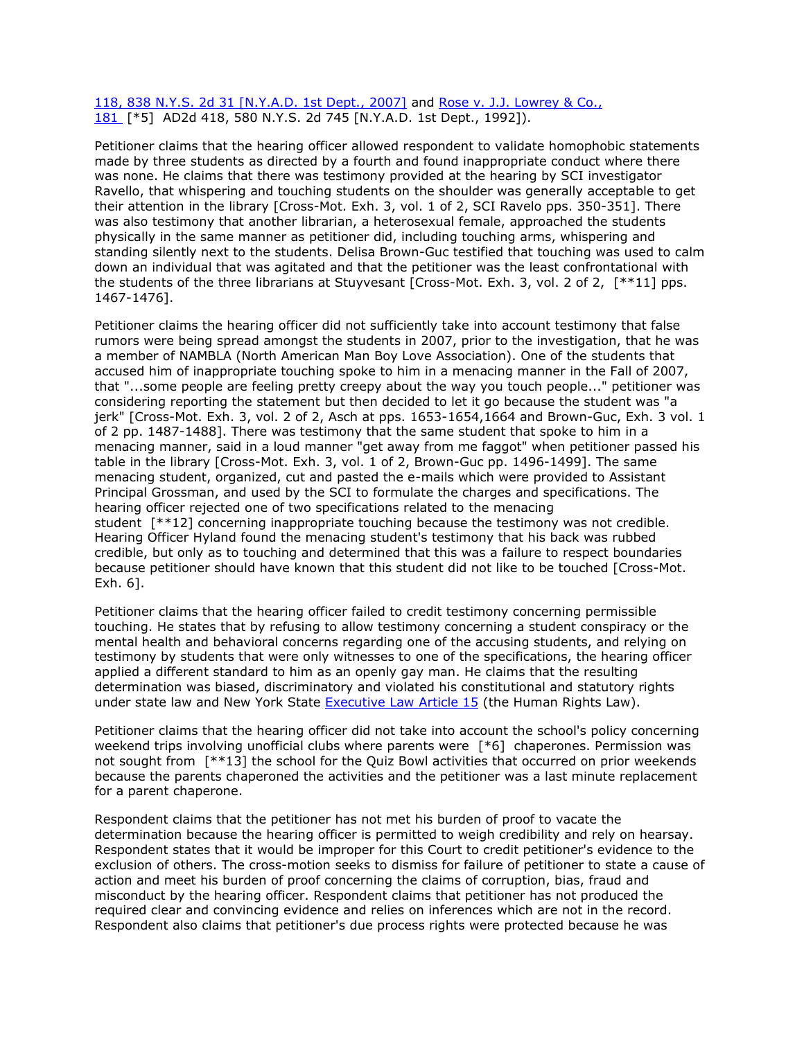[118, 838 N.Y.S. 2d 31 \[N.Y.A.D. 1st Dept., 2007\]](http://www.lexisnexis.com.ezproxy.strose.edu/lnacui2api/mungo/lexseestat.do?bct=A&risb=21_T12271941973&homeCsi=9095&A=0.144397491058194&urlEnc=ISO-8859-1&&citeString=41%20A.D.3d%20118&countryCode=USA) and [Rose v. J.J. Lowrey & Co.,](http://www.lexisnexis.com.ezproxy.strose.edu/lnacui2api/mungo/lexseestat.do?bct=A&risb=21_T12271941973&homeCsi=9095&A=0.144397491058194&urlEnc=ISO-8859-1&&citeString=181%20A.D.2d%20418&countryCode=USA)  [181](http://www.lexisnexis.com.ezproxy.strose.edu/lnacui2api/mungo/lexseestat.do?bct=A&risb=21_T12271941973&homeCsi=9095&A=0.144397491058194&urlEnc=ISO-8859-1&&citeString=181%20A.D.2d%20418&countryCode=USA) [\*5] AD2d 418, 580 N.Y.S. 2d 745 [N.Y.A.D. 1st Dept., 1992]).

Petitioner claims that the hearing officer allowed respondent to validate homophobic statements made by three students as directed by a fourth and found inappropriate conduct where there was none. He claims that there was testimony provided at the hearing by SCI investigator Ravello, that whispering and touching students on the shoulder was generally acceptable to get their attention in the library [Cross-Mot. Exh. 3, vol. 1 of 2, SCI Ravelo pps. 350-351]. There was also testimony that another librarian, a heterosexual female, approached the students physically in the same manner as petitioner did, including touching arms, whispering and standing silently next to the students. Delisa Brown-Guc testified that touching was used to calm down an individual that was agitated and that the petitioner was the least confrontational with the students of the three librarians at Stuyvesant [Cross-Mot. Exh. 3, vol. 2 of 2, [\*\*11] pps. 1467-1476].

Petitioner claims the hearing officer did not sufficiently take into account testimony that false rumors were being spread amongst the students in 2007, prior to the investigation, that he was a member of NAMBLA (North American Man Boy Love Association). One of the students that accused him of inappropriate touching spoke to him in a menacing manner in the Fall of 2007, that "...some people are feeling pretty creepy about the way you touch people..." petitioner was considering reporting the statement but then decided to let it go because the student was "a jerk" [Cross-Mot. Exh. 3, vol. 2 of 2, Asch at pps. 1653-1654,1664 and Brown-Guc, Exh. 3 vol. 1 of 2 pp. 1487-1488]. There was testimony that the same student that spoke to him in a menacing manner, said in a loud manner "get away from me faggot" when petitioner passed his table in the library [Cross-Mot. Exh. 3, vol. 1 of 2, Brown-Guc pp. 1496-1499]. The same menacing student, organized, cut and pasted the e-mails which were provided to Assistant Principal Grossman, and used by the SCI to formulate the charges and specifications. The hearing officer rejected one of two specifications related to the menacing student [\*\*12] concerning inappropriate touching because the testimony was not credible. Hearing Officer Hyland found the menacing student's testimony that his back was rubbed credible, but only as to touching and determined that this was a failure to respect boundaries because petitioner should have known that this student did not like to be touched [Cross-Mot. Exh. 6].

Petitioner claims that the hearing officer failed to credit testimony concerning permissible touching. He states that by refusing to allow testimony concerning a student conspiracy or the mental health and behavioral concerns regarding one of the accusing students, and relying on testimony by students that were only witnesses to one of the specifications, the hearing officer applied a different standard to him as an openly gay man. He claims that the resulting determination was biased, discriminatory and violated his constitutional and statutory rights under state law and New York State [Executive Law Article 15](http://www.lexisnexis.com.ezproxy.strose.edu/lnacui2api/mungo/lexseestat.do?bct=A&risb=21_T12271941973&homeCsi=9095&A=0.144397491058194&urlEnc=ISO-8859-1&&citeString=N.Y.%20EXEC.%20LAW%2015&countryCode=USA) (the Human Rights Law).

Petitioner claims that the hearing officer did not take into account the school's policy concerning weekend trips involving unofficial clubs where parents were [\*6] chaperones. Permission was not sought from [\*\*13] the school for the Quiz Bowl activities that occurred on prior weekends because the parents chaperoned the activities and the petitioner was a last minute replacement for a parent chaperone.

Respondent claims that the petitioner has not met his burden of proof to vacate the determination because the hearing officer is permitted to weigh credibility and rely on hearsay. Respondent states that it would be improper for this Court to credit petitioner's evidence to the exclusion of others. The cross-motion seeks to dismiss for failure of petitioner to state a cause of action and meet his burden of proof concerning the claims of corruption, bias, fraud and misconduct by the hearing officer. Respondent claims that petitioner has not produced the required clear and convincing evidence and relies on inferences which are not in the record. Respondent also claims that petitioner's due process rights were protected because he was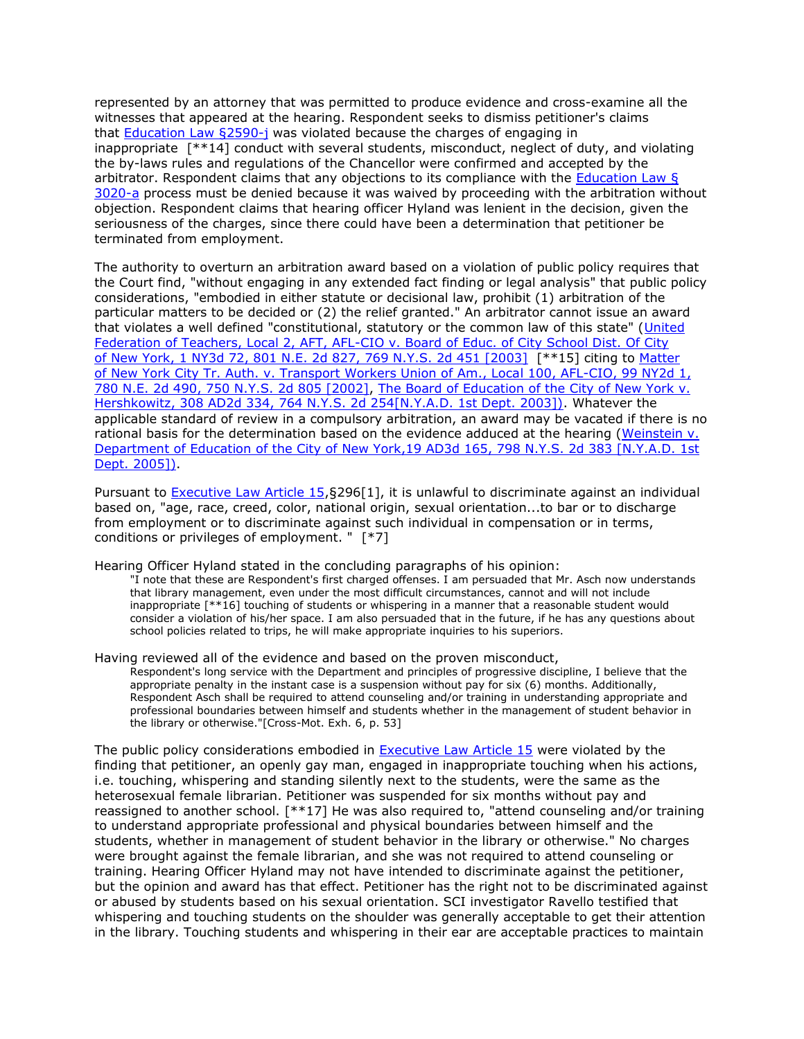represented by an attorney that was permitted to produce evidence and cross-examine all the witnesses that appeared at the hearing. Respondent seeks to dismiss petitioner's claims that [Education Law §2590-j](http://www.lexisnexis.com.ezproxy.strose.edu/lnacui2api/mungo/lexseestat.do?bct=A&risb=21_T12271941973&homeCsi=9095&A=0.144397491058194&urlEnc=ISO-8859-1&&citeString=N.Y.%20EDUC.%20LAW%202590-J&countryCode=USA) was violated because the charges of engaging in inappropriate [\*\*14] conduct with several students, misconduct, neglect of duty, and violating the by-laws rules and regulations of the Chancellor were confirmed and accepted by the arbitrator. Respondent claims that any objections to its compliance with the [Education Law §](http://www.lexisnexis.com.ezproxy.strose.edu/lnacui2api/mungo/lexseestat.do?bct=A&risb=21_T12271941973&homeCsi=9095&A=0.144397491058194&urlEnc=ISO-8859-1&&citeString=N.Y.%20EDUC.%20LAW%203020-A&countryCode=USA)  [3020-a](http://www.lexisnexis.com.ezproxy.strose.edu/lnacui2api/mungo/lexseestat.do?bct=A&risb=21_T12271941973&homeCsi=9095&A=0.144397491058194&urlEnc=ISO-8859-1&&citeString=N.Y.%20EDUC.%20LAW%203020-A&countryCode=USA) process must be denied because it was waived by proceeding with the arbitration without objection. Respondent claims that hearing officer Hyland was lenient in the decision, given the seriousness of the charges, since there could have been a determination that petitioner be terminated from employment.

The authority to overturn an arbitration award based on a violation of public policy requires that the Court find, "without engaging in any extended fact finding or legal analysis" that public policy considerations, "embodied in either statute or decisional law, prohibit (1) arbitration of the particular matters to be decided or (2) the relief granted." An arbitrator cannot issue an award that violates a well defined "constitutional, statutory or the common law of this state" (United [Federation of Teachers, Local 2, AFT, AFL-CIO v. Board of Educ. of City School Dist. Of City](http://www.lexisnexis.com.ezproxy.strose.edu/lnacui2api/mungo/lexseestat.do?bct=A&risb=21_T12271941973&homeCsi=9095&A=0.144397491058194&urlEnc=ISO-8859-1&&citeString=1%20N.Y.3d%2072&countryCode=USA)  of New York, [1 NY3d 72, 801 N.E. 2d 827, 769 N.Y.S. 2d 451 \[2003\]](http://www.lexisnexis.com.ezproxy.strose.edu/lnacui2api/mungo/lexseestat.do?bct=A&risb=21_T12271941973&homeCsi=9095&A=0.144397491058194&urlEnc=ISO-8859-1&&citeString=1%20N.Y.3d%2072&countryCode=USA) [\*\*15] citing to [Matter](http://www.lexisnexis.com.ezproxy.strose.edu/lnacui2api/mungo/lexseestat.do?bct=A&risb=21_T12271941973&homeCsi=9095&A=0.144397491058194&urlEnc=ISO-8859-1&&citeString=99%20N.Y.2d%201&countryCode=USA)  of New York [City Tr. Auth. v. Transport Workers Union of Am., Local 100, AFL-CIO, 99 NY2d 1,](http://www.lexisnexis.com.ezproxy.strose.edu/lnacui2api/mungo/lexseestat.do?bct=A&risb=21_T12271941973&homeCsi=9095&A=0.144397491058194&urlEnc=ISO-8859-1&&citeString=99%20N.Y.2d%201&countryCode=USA)  [780 N.E. 2d 490, 750 N.Y.S. 2d 805 \[2002\],](http://www.lexisnexis.com.ezproxy.strose.edu/lnacui2api/mungo/lexseestat.do?bct=A&risb=21_T12271941973&homeCsi=9095&A=0.144397491058194&urlEnc=ISO-8859-1&&citeString=99%20N.Y.2d%201&countryCode=USA) The Board of Education [of the City of](http://www.lexisnexis.com.ezproxy.strose.edu/lnacui2api/mungo/lexseestat.do?bct=A&risb=21_T12271941973&homeCsi=9095&A=0.144397491058194&urlEnc=ISO-8859-1&&citeString=308%20A.D.2d%20334&countryCode=USA) New York v. [Hershkowitz, 308 AD2d 334, 764 N.Y.S. 2d 254\[N.Y.A.D. 1st Dept. 2003\]\).](http://www.lexisnexis.com.ezproxy.strose.edu/lnacui2api/mungo/lexseestat.do?bct=A&risb=21_T12271941973&homeCsi=9095&A=0.144397491058194&urlEnc=ISO-8859-1&&citeString=308%20A.D.2d%20334&countryCode=USA) Whatever the applicable standard of review in a compulsory arbitration, an award may be vacated if there is no rational basis for the determination based on the evidence adduced at the hearing (Weinstein v. Department of Education of the City of [New York,19 AD3d 165, 798 N.Y.S. 2d 383 \[N.Y.A.D. 1st](http://www.lexisnexis.com.ezproxy.strose.edu/lnacui2api/mungo/lexseestat.do?bct=A&risb=21_T12271941973&homeCsi=9095&A=0.144397491058194&urlEnc=ISO-8859-1&&citeString=19%20A.D.3d%20165&countryCode=USA)  [Dept. 2005\]\).](http://www.lexisnexis.com.ezproxy.strose.edu/lnacui2api/mungo/lexseestat.do?bct=A&risb=21_T12271941973&homeCsi=9095&A=0.144397491058194&urlEnc=ISO-8859-1&&citeString=19%20A.D.3d%20165&countryCode=USA)

Pursuant to **[Executive Law Article 15,](http://www.lexisnexis.com.ezproxy.strose.edu/lnacui2api/mungo/lexseestat.do?bct=A&risb=21_T12271941973&homeCsi=9095&A=0.144397491058194&urlEnc=ISO-8859-1&&citeString=N.Y.%20EXEC.%20LAW%2015&countryCode=USA)**§296[1], it is unlawful to discriminate against an individual based on, "age, race, creed, color, national origin, sexual orientation...to bar or to discharge from employment or to discriminate against such individual in compensation or in terms, conditions or privileges of employment. " [\*7]

Hearing Officer Hyland stated in the concluding paragraphs of his opinion:

"I note that these are Respondent's first charged offenses. I am persuaded that Mr. Asch now understands that library management, even under the most difficult circumstances, cannot and will not include inappropriate [\*\*16] touching of students or whispering in a manner that a reasonable student would consider a violation of his/her space. I am also persuaded that in the future, if he has any questions about school policies related to trips, he will make appropriate inquiries to his superiors.

Having reviewed all of the evidence and based on the proven misconduct,

Respondent's long service with the Department and principles of progressive discipline, I believe that the appropriate penalty in the instant case is a suspension without pay for six (6) months. Additionally, Respondent Asch shall be required to attend counseling and/or training in understanding appropriate and professional boundaries between himself and students whether in the management of student behavior in the library or otherwise."[Cross-Mot. Exh. 6, p. 53]

The public policy considerations embodied in **[Executive Law Article 15](http://www.lexisnexis.com.ezproxy.strose.edu/lnacui2api/mungo/lexseestat.do?bct=A&risb=21_T12271941973&homeCsi=9095&A=0.144397491058194&urlEnc=ISO-8859-1&&citeString=N.Y.%20EXEC.%20LAW%2015&countryCode=USA)** were violated by the finding that petitioner, an openly gay man, engaged in inappropriate touching when his actions, i.e. touching, whispering and standing silently next to the students, were the same as the heterosexual female librarian. Petitioner was suspended for six months without pay and reassigned to another school. [\*\*17] He was also required to, "attend counseling and/or training to understand appropriate professional and physical boundaries between himself and the students, whether in management of student behavior in the library or otherwise." No charges were brought against the female librarian, and she was not required to attend counseling or training. Hearing Officer Hyland may not have intended to discriminate against the petitioner, but the opinion and award has that effect. Petitioner has the right not to be discriminated against or abused by students based on his sexual orientation. SCI investigator Ravello testified that whispering and touching students on the shoulder was generally acceptable to get their attention in the library. Touching students and whispering in their ear are acceptable practices to maintain